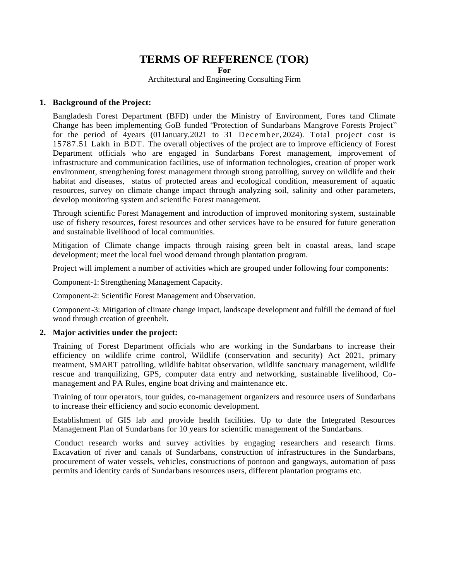# **TERMS OF REFERENCE (TOR)**

**For**

Architectural and Engineering Consulting Firm

## **1. Background of the Project:**

Bangladesh Forest Department (BFD) under the Ministry of Environment, Fores tand Climate Change has been implementing GoB funded "Protection of Sundarbans Mangrove Forests Project" for the period of 4years (01January,2021 to 31 December,2024). Total project cost is 15787.51 Lakh in BDT. The overall objectives of the project are to improve efficiency of Forest Department officials who are engaged in Sundarbans Forest management, improvement of infrastructure and communication facilities, use of information technologies, creation of proper work environment, strengthening forest management through strong patrolling, survey on wildlife and their habitat and diseases, status of protected areas and ecological condition, measurement of aquatic resources, survey on climate change impact through analyzing soil, salinity and other parameters, develop monitoring system and scientific Forest management.

Through scientific Forest Management and introduction of improved monitoring system, sustainable use of fishery resources, forest resources and other services have to be ensured for future generation and sustainable livelihood of local communities.

Mitigation of Climate change impacts through raising green belt in coastal areas, land scape development; meet the local fuel wood demand through plantation program.

Project will implement a number of activities which are grouped under following four components:

Component-1: Strengthening Management Capacity.

Component-2: Scientific Forest Management and Observation.

Component-3: Mitigation of climate change impact, landscape development and fulfill the demand of fuel wood through creation of greenbelt.

#### **2. Major activities under the project:**

Training of Forest Department officials who are working in the Sundarbans to increase their efficiency on wildlife crime control, Wildlife (conservation and security) Act 2021, primary treatment, SMART patrolling, wildlife habitat observation, wildlife sanctuary management, wildlife rescue and tranquilizing, GPS, computer data entry and networking, sustainable livelihood, Comanagement and PA Rules, engine boat driving and maintenance etc.

Training of tour operators, tour guides, co-management organizers and resource users of Sundarbans to increase their efficiency and socio economic development.

Establishment of GIS lab and provide health facilities. Up to date the Integrated Resources Management Plan of Sundarbans for 10 years for scientific management of the Sundarbans.

Conduct research works and survey activities by engaging researchers and research firms. Excavation of river and canals of Sundarbans, construction of infrastructures in the Sundarbans, procurement of water vessels, vehicles, constructions of pontoon and gangways, automation of pass permits and identity cards of Sundarbans resources users, different plantation programs etc.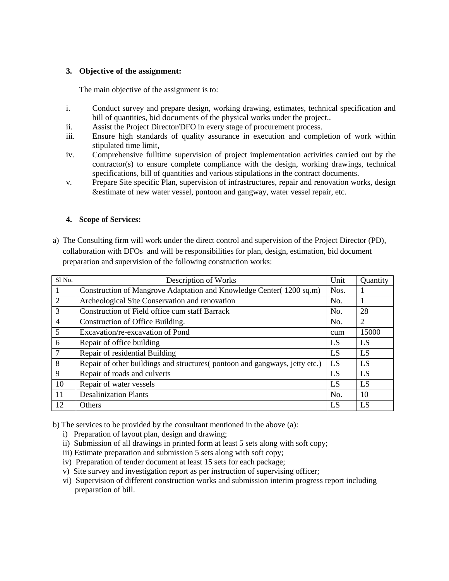# **3. Objective of the assignment:**

The main objective of the assignment is to:

- i. Conduct survey and prepare design, working drawing, estimates, technical specification and bill of quantities, bid documents of the physical works under the project..
- ii. Assist the Project Director/DFO in every stage of procurement process.
- iii. Ensure high standards of quality assurance in execution and completion of work within stipulated time limit,
- iv. Comprehensive fulltime supervision of project implementation activities carried out by the contractor(s) to ensure complete compliance with the design, working drawings, technical specifications, bill of quantities and various stipulations in the contract documents.
- v. Prepare Site specific Plan, supervision of infrastructures, repair and renovation works, design &estimate of new water vessel, pontoon and gangway, water vessel repair, etc.

# **4. Scope of Services:**

a) The Consulting firm will work under the direct control and supervision of the Project Director (PD), collaboration with DFOs and will be responsibilities for plan, design, estimation, bid document preparation and supervision of the following construction works:

| Sl No.          | Description of Works                                                        | Unit | Quantity |
|-----------------|-----------------------------------------------------------------------------|------|----------|
|                 | Construction of Mangrove Adaptation and Knowledge Center(1200 sq.m)         |      |          |
| 2               | Archeological Site Conservation and renovation                              |      |          |
| 3               | Construction of Field office cum staff Barrack                              | No.  | 28       |
| $\overline{4}$  | Construction of Office Building.                                            | No.  | 2        |
| 5               | Excavation/re-excavation of Pond                                            | cum  | 15000    |
| 6               | Repair of office building                                                   | LS   | LS       |
| $7\phantom{.0}$ | Repair of residential Building                                              | LS   | LS       |
| 8               | Repair of other buildings and structures (pontoon and gangways, jetty etc.) | LS   | LS       |
| 9               | Repair of roads and culverts                                                | LS   | LS       |
| 10              | Repair of water vessels                                                     | LS   | LS       |
| 11              | <b>Desalinization Plants</b>                                                | No.  | 10       |
| 12              | <b>Others</b>                                                               | LS   | LS       |

b) The services to be provided by the consultant mentioned in the above (a):

- i) Preparation of layout plan, design and drawing;
- ii) Submission of all drawings in printed form at least 5 sets along with soft copy;
- iii) Estimate preparation and submission 5 sets along with soft copy;
- iv) Preparation of tender document at least 15 sets for each package;
- v) Site survey and investigation report as per instruction of supervising officer;
- vi) Supervision of different construction works and submission interim progress report including preparation of bill.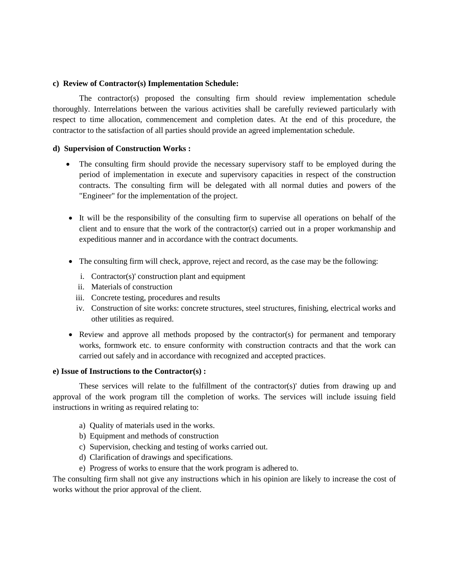#### **c) Review of Contractor(s) Implementation Schedule:**

The contractor(s) proposed the consulting firm should review implementation schedule thoroughly. Interrelations between the various activities shall be carefully reviewed particularly with respect to time allocation, commencement and completion dates. At the end of this procedure, the contractor to the satisfaction of all parties should provide an agreed implementation schedule.

#### **d) Supervision of Construction Works :**

- The consulting firm should provide the necessary supervisory staff to be employed during the period of implementation in execute and supervisory capacities in respect of the construction contracts. The consulting firm will be delegated with all normal duties and powers of the "Engineer" for the implementation of the project.
- It will be the responsibility of the consulting firm to supervise all operations on behalf of the client and to ensure that the work of the contractor(s) carried out in a proper workmanship and expeditious manner and in accordance with the contract documents.
- The consulting firm will check, approve, reject and record, as the case may be the following:
	- i. Contractor(s)' construction plant and equipment
	- ii. Materials of construction
	- iii. Concrete testing, procedures and results
	- iv. Construction of site works: concrete structures, steel structures, finishing, electrical works and other utilities as required.
- Review and approve all methods proposed by the contractor(s) for permanent and temporary works, formwork etc. to ensure conformity with construction contracts and that the work can carried out safely and in accordance with recognized and accepted practices.

## **e) Issue of Instructions to the Contractor(s) :**

These services will relate to the fulfillment of the contractor(s)' duties from drawing up and approval of the work program till the completion of works. The services will include issuing field instructions in writing as required relating to:

- a) Quality of materials used in the works.
- b) Equipment and methods of construction
- c) Supervision, checking and testing of works carried out.
- d) Clarification of drawings and specifications.
- e) Progress of works to ensure that the work program is adhered to.

The consulting firm shall not give any instructions which in his opinion are likely to increase the cost of works without the prior approval of the client.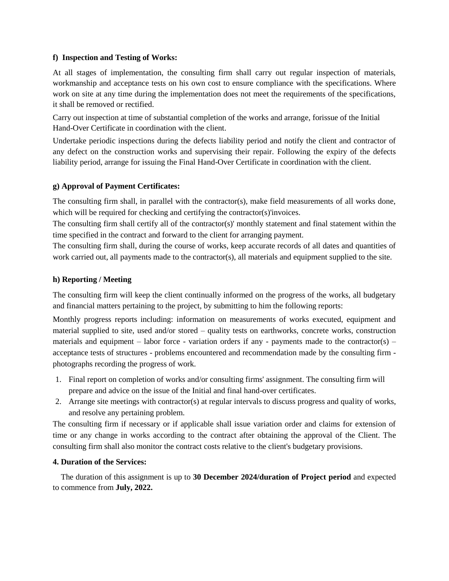## **f) Inspection and Testing of Works:**

At all stages of implementation, the consulting firm shall carry out regular inspection of materials, workmanship and acceptance tests on his own cost to ensure compliance with the specifications. Where work on site at any time during the implementation does not meet the requirements of the specifications, it shall be removed or rectified.

Carry out inspection at time of substantial completion of the works and arrange, forissue of the Initial Hand-Over Certificate in coordination with the client.

Undertake periodic inspections during the defects liability period and notify the client and contractor of any defect on the construction works and supervising their repair. Following the expiry of the defects liability period, arrange for issuing the Final Hand-Over Certificate in coordination with the client.

## **g) Approval of Payment Certificates:**

The consulting firm shall, in parallel with the contractor(s), make field measurements of all works done, which will be required for checking and certifying the contractor(s)'invoices.

The consulting firm shall certify all of the contractor(s)' monthly statement and final statement within the time specified in the contract and forward to the client for arranging payment.

The consulting firm shall, during the course of works, keep accurate records of all dates and quantities of work carried out, all payments made to the contractor(s), all materials and equipment supplied to the site.

## **h) Reporting / Meeting**

The consulting firm will keep the client continually informed on the progress of the works, all budgetary and financial matters pertaining to the project, by submitting to him the following reports:

Monthly progress reports including: information on measurements of works executed, equipment and material supplied to site, used and/or stored – quality tests on earthworks, concrete works, construction materials and equipment – labor force - variation orders if any - payments made to the contractor(s) – acceptance tests of structures - problems encountered and recommendation made by the consulting firm photographs recording the progress of work.

- 1. Final report on completion of works and/or consulting firms' assignment. The consulting firm will prepare and advice on the issue of the Initial and final hand-over certificates.
- 2. Arrange site meetings with contractor(s) at regular intervals to discuss progress and quality of works, and resolve any pertaining problem.

The consulting firm if necessary or if applicable shall issue variation order and claims for extension of time or any change in works according to the contract after obtaining the approval of the Client. The consulting firm shall also monitor the contract costs relative to the client's budgetary provisions*.*

## **4. Duration of the Services:**

 The duration of this assignment is up to **30 December 2024/duration of Project period** and expected to commence from **July, 2022.**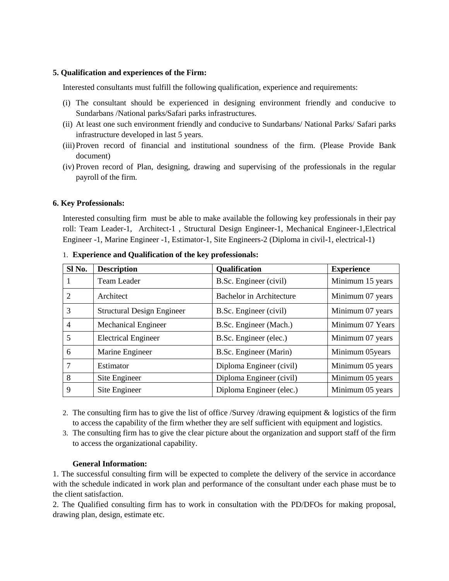## **5. Qualification and experiences of the Firm:**

Interested consultants must fulfill the following qualification, experience and requirements:

- (i) The consultant should be experienced in designing environment friendly and conducive to Sundarbans /National parks/Safari parks infrastructures.
- (ii) At least one such environment friendly and conducive to Sundarbans/ National Parks/ Safari parks infrastructure developed in last 5 years.
- (iii)Proven record of financial and institutional soundness of the firm. (Please Provide Bank document)
- (iv) Proven record of Plan, designing, drawing and supervising of the professionals in the regular payroll of the firm.

### **6. Key Professionals:**

Interested consulting firm must be able to make available the following key professionals in their pay roll: Team Leader-1, Architect-1 , Structural Design Engineer-1, Mechanical Engineer-1,Electrical Engineer -1, Marine Engineer -1, Estimator-1, Site Engineers-2 (Diploma in civil-1, electrical-1)

| Sl No. | <b>Description</b>                | <b>Qualification</b>            | <b>Experience</b> |
|--------|-----------------------------------|---------------------------------|-------------------|
| T      | Team Leader                       | B.Sc. Engineer (civil)          | Minimum 15 years  |
| 2      | Architect                         | <b>Bachelor</b> in Architecture | Minimum 07 years  |
| 3      | <b>Structural Design Engineer</b> | B.Sc. Engineer (civil)          | Minimum 07 years  |
| 4      | <b>Mechanical Engineer</b>        | B.Sc. Engineer (Mach.)          | Minimum 07 Years  |
| 5      | <b>Electrical Engineer</b>        | B.Sc. Engineer (elec.)          | Minimum 07 years  |
| 6      | Marine Engineer                   | B.Sc. Engineer (Marin)          | Minimum 05years   |
| 7      | Estimator                         | Diploma Engineer (civil)        | Minimum 05 years  |
| 8      | Site Engineer                     | Diploma Engineer (civil)        | Minimum 05 years  |
| 9      | Site Engineer                     | Diploma Engineer (elec.)        | Minimum 05 years  |

#### 1. **Experience and Qualification of the key professionals:**

- 2. The consulting firm has to give the list of office /Survey /drawing equipment & logistics of the firm to access the capability of the firm whether they are self sufficient with equipment and logistics.
- 3. The consulting firm has to give the clear picture about the organization and support staff of the firm to access the organizational capability.

## **General Information:**

1. The successful consulting firm will be expected to complete the delivery of the service in accordance with the schedule indicated in work plan and performance of the consultant under each phase must be to the client satisfaction.

2. The Qualified consulting firm has to work in consultation with the PD/DFOs for making proposal, drawing plan, design, estimate etc.